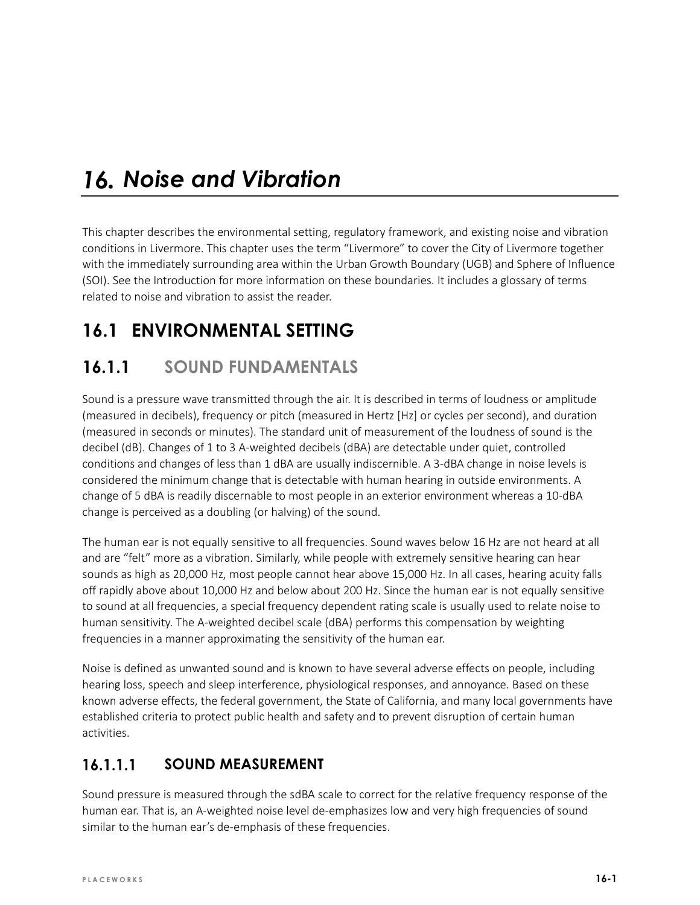# *Noise and Vibration*

This chapter describes the environmental setting, regulatory framework, and existing noise and vibration conditions in Livermore. This chapter uses the term "Livermore" to cover the City of Livermore together with the immediately surrounding area within the Urban Growth Boundary (UGB) and Sphere of Influence (SOI). See the Introduction for more information on these boundaries. It includes a glossary of terms related to noise and vibration to assist the reader.

# **16.1 ENVIRONMENTAL SETTING**

## **16.1.1 SOUND FUNDAMENTALS**

Sound is a pressure wave transmitted through the air. It is described in terms of loudness or amplitude (measured in decibels), frequency or pitch (measured in Hertz [Hz] or cycles per second), and duration (measured in seconds or minutes). The standard unit of measurement of the loudness of sound is the decibel (dB). Changes of 1 to 3 A-weighted decibels (dBA) are detectable under quiet, controlled conditions and changes of less than 1 dBA are usually indiscernible. A 3-dBA change in noise levels is considered the minimum change that is detectable with human hearing in outside environments. A change of 5 dBA is readily discernable to most people in an exterior environment whereas a 10-dBA change is perceived as a doubling (or halving) of the sound.

The human ear is not equally sensitive to all frequencies. Sound waves below 16 Hz are not heard at all and are "felt" more as a vibration. Similarly, while people with extremely sensitive hearing can hear sounds as high as 20,000 Hz, most people cannot hear above 15,000 Hz. In all cases, hearing acuity falls off rapidly above about 10,000 Hz and below about 200 Hz. Since the human ear is not equally sensitive to sound at all frequencies, a special frequency dependent rating scale is usually used to relate noise to human sensitivity. The A-weighted decibel scale (dBA) performs this compensation by weighting frequencies in a manner approximating the sensitivity of the human ear.

Noise is defined as unwanted sound and is known to have several adverse effects on people, including hearing loss, speech and sleep interference, physiological responses, and annoyance. Based on these known adverse effects, the federal government, the State of California, and many local governments have established criteria to protect public health and safety and to prevent disruption of certain human activities.

#### $16.1.1.1$ **SOUND MEASUREMENT**

Sound pressure is measured through the sdBA scale to correct for the relative frequency response of the human ear. That is, an A-weighted noise level de-emphasizes low and very high frequencies of sound similar to the human ear's de-emphasis of these frequencies.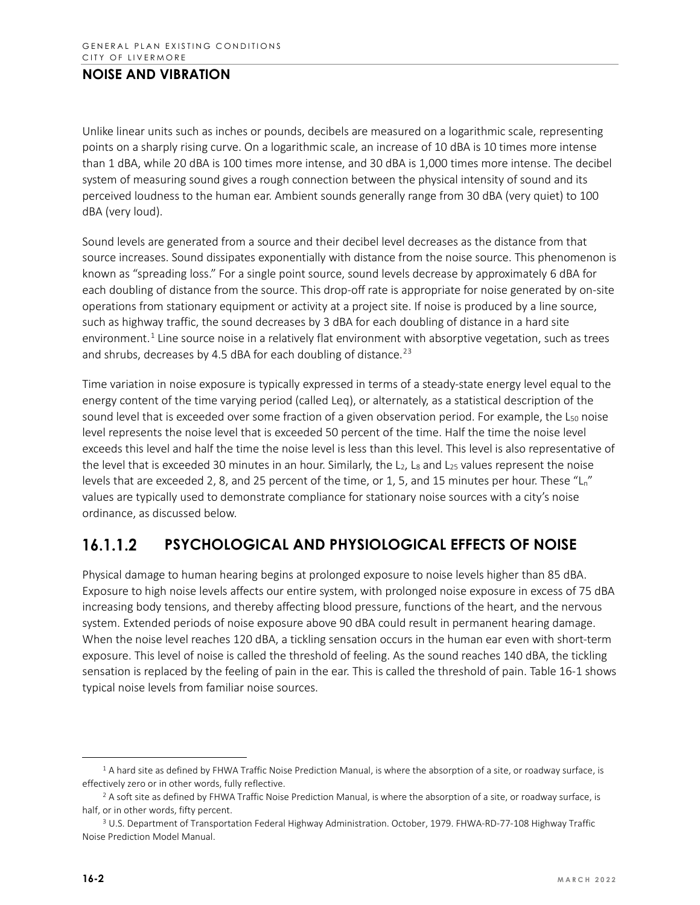Unlike linear units such as inches or pounds, decibels are measured on a logarithmic scale, representing points on a sharply rising curve. On a logarithmic scale, an increase of 10 dBA is 10 times more intense than 1 dBA, while 20 dBA is 100 times more intense, and 30 dBA is 1,000 times more intense. The decibel system of measuring sound gives a rough connection between the physical intensity of sound and its perceived loudness to the human ear. Ambient sounds generally range from 30 dBA (very quiet) to 100 dBA (very loud).

Sound levels are generated from a source and their decibel level decreases as the distance from that source increases. Sound dissipates exponentially with distance from the noise source. This phenomenon is known as "spreading loss." For a single point source, sound levels decrease by approximately 6 dBA for each doubling of distance from the source. This drop-off rate is appropriate for noise generated by on-site operations from stationary equipment or activity at a project site. If noise is produced by a line source, such as highway traffic, the sound decreases by 3 dBA for each doubling of distance in a hard site environment.<sup>[1](#page-1-0)</sup> Line source noise in a relatively flat environment with absorptive vegetation, such as trees and shrubs, decreases by 4.5 dBA for each doubling of distance.<sup>[2](#page-1-1)[3](#page-1-2)</sup>

Time variation in noise exposure is typically expressed in terms of a steady-state energy level equal to the energy content of the time varying period (called Leq), or alternately, as a statistical description of the sound level that is exceeded over some fraction of a given observation period. For example, the  $L_{50}$  noise level represents the noise level that is exceeded 50 percent of the time. Half the time the noise level exceeds this level and half the time the noise level is less than this level. This level is also representative of the level that is exceeded 30 minutes in an hour. Similarly, the  $L_2$ ,  $L_8$  and  $L_{25}$  values represent the noise levels that are exceeded 2, 8, and 25 percent of the time, or 1, 5, and 15 minutes per hour. These " $L_n$ " values are typically used to demonstrate compliance for stationary noise sources with a city's noise ordinance, as discussed below.

#### $16.1.1.2$ **PSYCHOLOGICAL AND PHYSIOLOGICAL EFFECTS OF NOISE**

Physical damage to human hearing begins at prolonged exposure to noise levels higher than 85 dBA. Exposure to high noise levels affects our entire system, with prolonged noise exposure in excess of 75 dBA increasing body tensions, and thereby affecting blood pressure, functions of the heart, and the nervous system. Extended periods of noise exposure above 90 dBA could result in permanent hearing damage. When the noise level reaches 120 dBA, a tickling sensation occurs in the human ear even with short-term exposure. This level of noise is called the threshold of feeling. As the sound reaches 140 dBA, the tickling sensation is replaced by the feeling of pain in the ear. This is called the threshold of pain. Table 16-1 shows typical noise levels from familiar noise sources.

<span id="page-1-0"></span><sup>&</sup>lt;sup>1</sup> A hard site as defined by FHWA Traffic Noise Prediction Manual, is where the absorption of a site, or roadway surface, is effectively zero or in other words, fully reflective.

<span id="page-1-1"></span><sup>&</sup>lt;sup>2</sup> A soft site as defined by FHWA Traffic Noise Prediction Manual, is where the absorption of a site, or roadway surface, is half, or in other words, fifty percent.

<span id="page-1-2"></span><sup>3</sup> U.S. Department of Transportation Federal Highway Administration. October, 1979. FHWA-RD-77-108 Highway Traffic Noise Prediction Model Manual.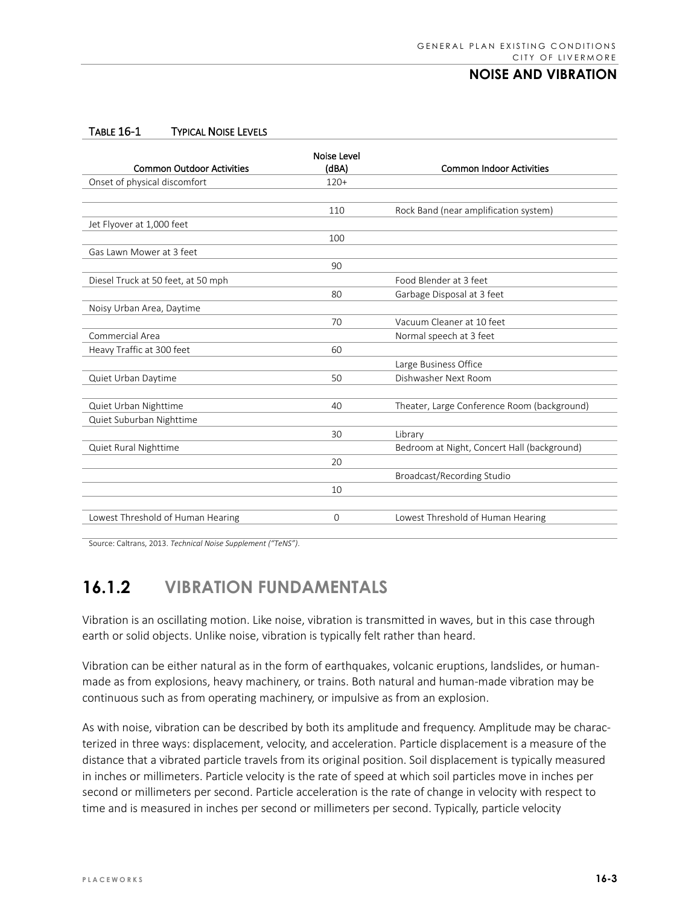#### TABLE 16-1 TYPICAL NOISE LEVELS

|                                    | Noise Level |                                             |
|------------------------------------|-------------|---------------------------------------------|
| <b>Common Outdoor Activities</b>   | (dBA)       | <b>Common Indoor Activities</b>             |
| Onset of physical discomfort       | $120+$      |                                             |
|                                    |             |                                             |
|                                    | 110         | Rock Band (near amplification system)       |
| Jet Flyover at 1,000 feet          |             |                                             |
|                                    | 100         |                                             |
| Gas Lawn Mower at 3 feet           |             |                                             |
|                                    | 90          |                                             |
| Diesel Truck at 50 feet, at 50 mph |             | Food Blender at 3 feet                      |
|                                    | 80          | Garbage Disposal at 3 feet                  |
| Noisy Urban Area, Daytime          |             |                                             |
|                                    | 70          | Vacuum Cleaner at 10 feet                   |
| Commercial Area                    |             | Normal speech at 3 feet                     |
| Heavy Traffic at 300 feet          | 60          |                                             |
|                                    |             | Large Business Office                       |
| Quiet Urban Daytime                | 50          | Dishwasher Next Room                        |
|                                    |             |                                             |
| Quiet Urban Nighttime              | 40          | Theater, Large Conference Room (background) |
| Quiet Suburban Nighttime           |             |                                             |
|                                    | 30          | Library                                     |
| Quiet Rural Nighttime              |             | Bedroom at Night, Concert Hall (background) |
|                                    | 20          |                                             |
|                                    |             | Broadcast/Recording Studio                  |
|                                    | 10          |                                             |
|                                    |             |                                             |
| Lowest Threshold of Human Hearing  | $\Omega$    | Lowest Threshold of Human Hearing           |

Source: Caltrans, 2013. *Technical Noise Supplement ("TeNS")*.

# **16.1.2 VIBRATION FUNDAMENTALS**

Vibration is an oscillating motion. Like noise, vibration is transmitted in waves, but in this case through earth or solid objects. Unlike noise, vibration is typically felt rather than heard.

Vibration can be either natural as in the form of earthquakes, volcanic eruptions, landslides, or humanmade as from explosions, heavy machinery, or trains. Both natural and human-made vibration may be continuous such as from operating machinery, or impulsive as from an explosion.

As with noise, vibration can be described by both its amplitude and frequency. Amplitude may be characterized in three ways: displacement, velocity, and acceleration. Particle displacement is a measure of the distance that a vibrated particle travels from its original position. Soil displacement is typically measured in inches or millimeters. Particle velocity is the rate of speed at which soil particles move in inches per second or millimeters per second. Particle acceleration is the rate of change in velocity with respect to time and is measured in inches per second or millimeters per second. Typically, particle velocity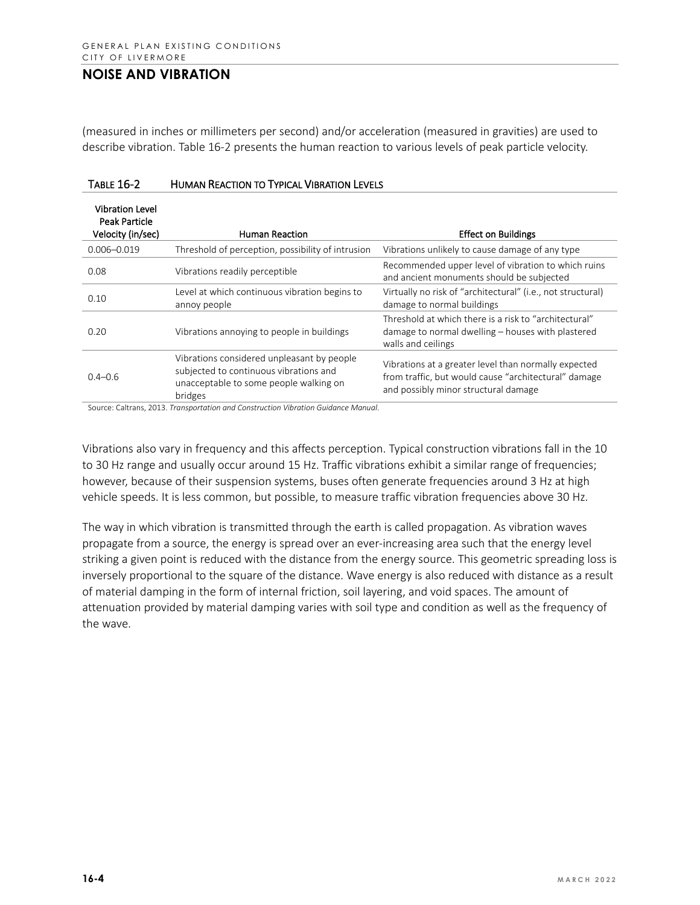(measured in inches or millimeters per second) and/or acceleration (measured in gravities) are used to describe vibration. Table 16-2 presents the human reaction to various levels of peak particle velocity.

| <b>Vibration Level</b><br><b>Peak Particle</b><br>Velocity (in/sec) | <b>Human Reaction</b>                                                                                                                     | <b>Effect on Buildings</b>                                                                                                                           |
|---------------------------------------------------------------------|-------------------------------------------------------------------------------------------------------------------------------------------|------------------------------------------------------------------------------------------------------------------------------------------------------|
| $0.006 - 0.019$                                                     | Threshold of perception, possibility of intrusion                                                                                         | Vibrations unlikely to cause damage of any type                                                                                                      |
| 0.08                                                                | Vibrations readily perceptible                                                                                                            | Recommended upper level of vibration to which ruins<br>and ancient monuments should be subjected                                                     |
| 0.10                                                                | Level at which continuous vibration begins to<br>annoy people                                                                             | Virtually no risk of "architectural" (i.e., not structural)<br>damage to normal buildings                                                            |
| 0.20                                                                | Vibrations annoying to people in buildings                                                                                                | Threshold at which there is a risk to "architectural"<br>damage to normal dwelling – houses with plastered<br>walls and ceilings                     |
| $0.4 - 0.6$                                                         | Vibrations considered unpleasant by people<br>subjected to continuous vibrations and<br>unacceptable to some people walking on<br>bridges | Vibrations at a greater level than normally expected<br>from traffic, but would cause "architectural" damage<br>and possibly minor structural damage |

| <b>TABLE 16-2</b> | <b>HUMAN REACTION TO TYPICAL VIBRATION LEVELS</b> |  |
|-------------------|---------------------------------------------------|--|
|                   |                                                   |  |

Source: Caltrans, 2013. *Transportation and Construction Vibration Guidance Manual*.

Vibrations also vary in frequency and this affects perception. Typical construction vibrations fall in the 10 to 30 Hz range and usually occur around 15 Hz. Traffic vibrations exhibit a similar range of frequencies; however, because of their suspension systems, buses often generate frequencies around 3 Hz at high vehicle speeds. It is less common, but possible, to measure traffic vibration frequencies above 30 Hz.

The way in which vibration is transmitted through the earth is called propagation. As vibration waves propagate from a source, the energy is spread over an ever-increasing area such that the energy level striking a given point is reduced with the distance from the energy source. This geometric spreading loss is inversely proportional to the square of the distance. Wave energy is also reduced with distance as a result of material damping in the form of internal friction, soil layering, and void spaces. The amount of attenuation provided by material damping varies with soil type and condition as well as the frequency of the wave.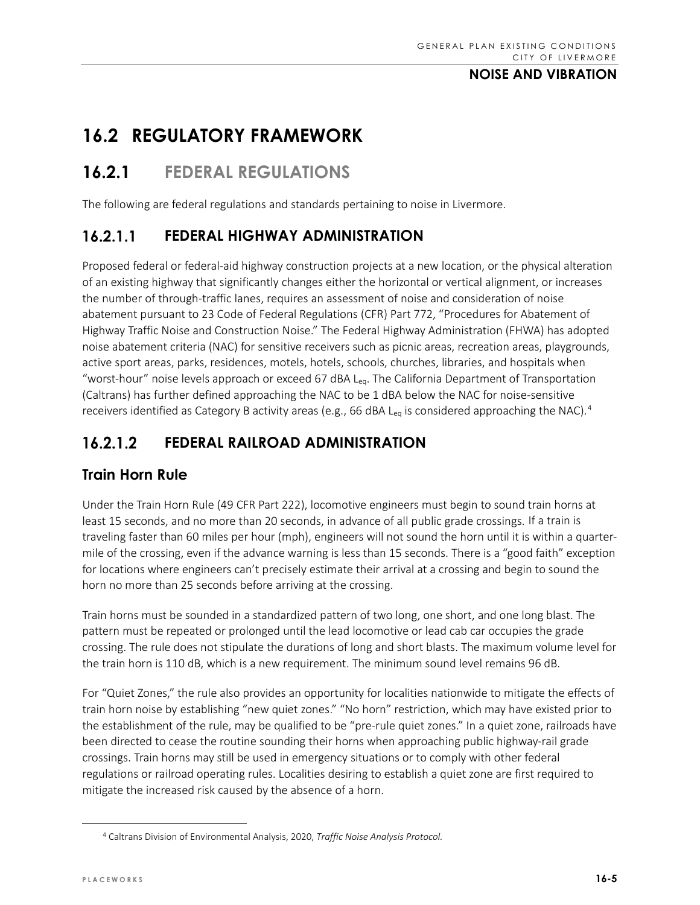# **16.2 REGULATORY FRAMEWORK**

# **16.2.1 FEDERAL REGULATIONS**

The following are federal regulations and standards pertaining to noise in Livermore.

#### **FEDERAL HIGHWAY ADMINISTRATION**  $16.2.1.1$

Proposed federal or federal-aid highway construction projects at a new location, or the physical alteration of an existing highway that significantly changes either the horizontal or vertical alignment, or increases the number of through-traffic lanes, requires an assessment of noise and consideration of noise abatement pursuant to 23 Code of Federal Regulations (CFR) Part 772, "Procedures for Abatement of Highway Traffic Noise and Construction Noise." The Federal Highway Administration (FHWA) has adopted noise abatement criteria (NAC) for sensitive receivers such as picnic areas, recreation areas, playgrounds, active sport areas, parks, residences, motels, hotels, schools, churches, libraries, and hospitals when "worst-hour" noise levels approach or exceed 67 dBA L<sub>eq</sub>. The California Department of Transportation (Caltrans) has further defined approaching the NAC to be 1 dBA below the NAC for noise-sensitive receivers identified as Category B activity areas (e.g., 66 dBA L<sub>eq</sub> is considered approaching the NAC).<sup>[4](#page-4-0)</sup>

#### $16.2.1.2$ **FEDERAL RAILROAD ADMINISTRATION**

## **Train Horn Rule**

Under the Train Horn Rule (49 CFR Part 222), locomotive engineers must begin to sound train horns at least 15 seconds, and no more than 20 seconds, in advance of all public grade crossings. If a train is traveling faster than 60 miles per hour (mph), engineers will not sound the horn until it is within a quartermile of the crossing, even if the advance warning is less than 15 seconds. There is a "good faith" exception for locations where engineers can't precisely estimate their arrival at a crossing and begin to sound the horn no more than 25 seconds before arriving at the crossing.

Train horns must be sounded in a standardized pattern of two long, one short, and one long blast. The pattern must be repeated or prolonged until the lead locomotive or lead cab car occupies the grade crossing. The rule does not stipulate the durations of long and short blasts. The maximum volume level for the train horn is 110 dB, which is a new requirement. The minimum sound level remains 96 dB.

For "Quiet Zones," the rule also provides an opportunity for localities nationwide to mitigate the effects of train horn noise by establishing "new quiet zones." "No horn" restriction, which may have existed prior to the establishment of the rule, may be qualified to be "pre-rule quiet zones." In a quiet zone, railroads have been directed to cease the routine sounding their horns when approaching public highway-rail grade crossings. Train horns may still be used in emergency situations or to comply with other federal regulations or railroad operating rules. Localities desiring to establish a quiet zone are first required to mitigate the increased risk caused by the absence of a horn.

<span id="page-4-0"></span><sup>4</sup> Caltrans Division of Environmental Analysis, 2020, *Traffic Noise Analysis Protocol.*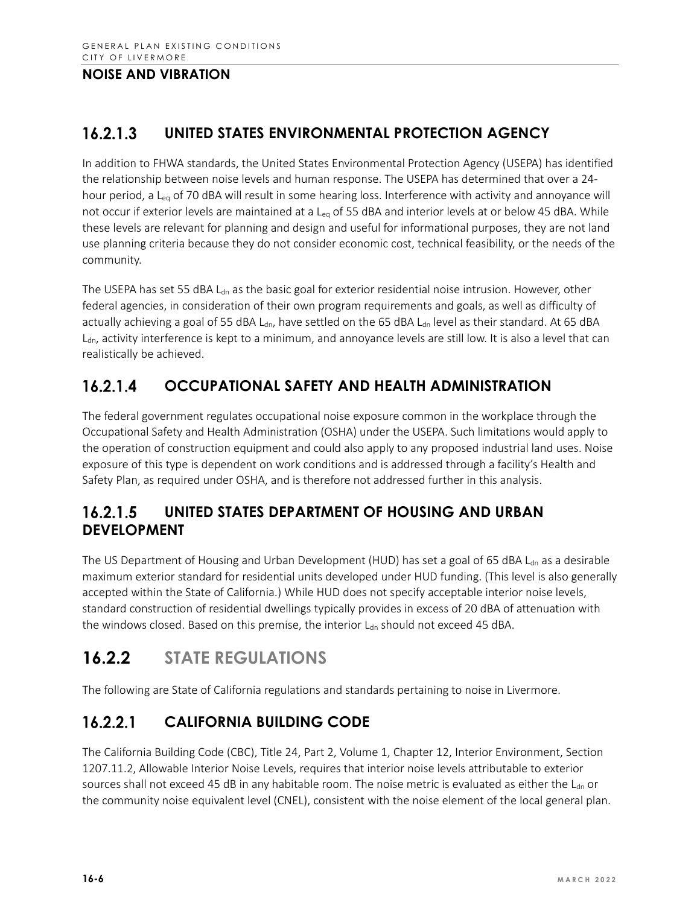#### $16.2.1.3$ **UNITED STATES ENVIRONMENTAL PROTECTION AGENCY**

In addition to FHWA standards, the United States Environmental Protection Agency (USEPA) has identified the relationship between noise levels and human response. The USEPA has determined that over a 24 hour period, a L<sub>eg</sub> of 70 dBA will result in some hearing loss. Interference with activity and annoyance will not occur if exterior levels are maintained at a L<sub>eq</sub> of 55 dBA and interior levels at or below 45 dBA. While these levels are relevant for planning and design and useful for informational purposes, they are not land use planning criteria because they do not consider economic cost, technical feasibility, or the needs of the community.

The USEPA has set 55 dBA  $L<sub>dn</sub>$  as the basic goal for exterior residential noise intrusion. However, other federal agencies, in consideration of their own program requirements and goals, as well as difficulty of actually achieving a goal of 55 dBA L<sub>dn</sub>, have settled on the 65 dBA L<sub>dn</sub> level as their standard. At 65 dBA  $L<sub>dn</sub>$  activity interference is kept to a minimum, and annoyance levels are still low. It is also a level that can realistically be achieved.

#### $16.2.1.4$ **OCCUPATIONAL SAFETY AND HEALTH ADMINISTRATION**

The federal government regulates occupational noise exposure common in the workplace through the Occupational Safety and Health Administration (OSHA) under the USEPA. Such limitations would apply to the operation of construction equipment and could also apply to any proposed industrial land uses. Noise exposure of this type is dependent on work conditions and is addressed through a facility's Health and Safety Plan, as required under OSHA, and is therefore not addressed further in this analysis.

#### 16.2.1.5 **UNITED STATES DEPARTMENT OF HOUSING AND URBAN DEVELOPMENT**

The US Department of Housing and Urban Development (HUD) has set a goal of 65 dBA  $L_{dn}$  as a desirable maximum exterior standard for residential units developed under HUD funding. (This level is also generally accepted within the State of California.) While HUD does not specify acceptable interior noise levels, standard construction of residential dwellings typically provides in excess of 20 dBA of attenuation with the windows closed. Based on this premise, the interior Ldn should not exceed 45 dBA.

# **16.2.2 STATE REGULATIONS**

The following are State of California regulations and standards pertaining to noise in Livermore.

#### **CALIFORNIA BUILDING CODE**  $16.2.2.1$

The California Building Code (CBC), Title 24, Part 2, Volume 1, Chapter 12, Interior Environment, Section 1207.11.2, Allowable Interior Noise Levels, requires that interior noise levels attributable to exterior sources shall not exceed 45 dB in any habitable room. The noise metric is evaluated as either the L<sub>dn</sub> or the community noise equivalent level (CNEL), consistent with the noise element of the local general plan.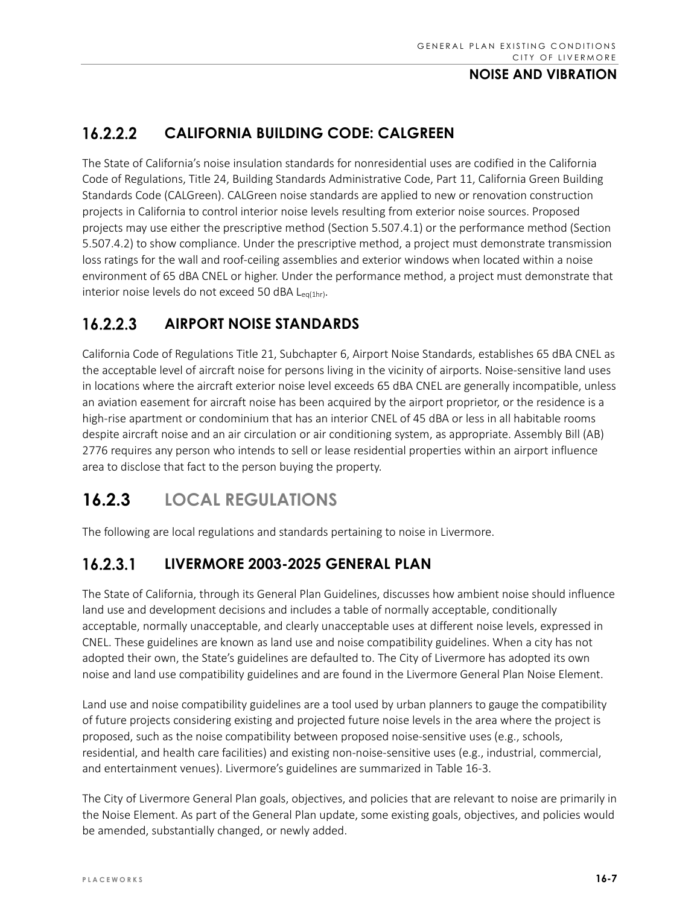#### $16.2.2.2$ **CALIFORNIA BUILDING CODE: CALGREEN**

The State of California's noise insulation standards for nonresidential uses are codified in the California Code of Regulations, Title 24, Building Standards Administrative Code, Part 11, California Green Building Standards Code (CALGreen). CALGreen noise standards are applied to new or renovation construction projects in California to control interior noise levels resulting from exterior noise sources. Proposed projects may use either the prescriptive method (Section 5.507.4.1) or the performance method (Section 5.507.4.2) to show compliance. Under the prescriptive method, a project must demonstrate transmission loss ratings for the wall and roof-ceiling assemblies and exterior windows when located within a noise environment of 65 dBA CNEL or higher. Under the performance method, a project must demonstrate that interior noise levels do not exceed 50 dBA  $L_{eq(1hr)}$ .

#### $16.2.2.3$ **AIRPORT NOISE STANDARDS**

California Code of Regulations Title 21, Subchapter 6, Airport Noise Standards, establishes 65 dBA CNEL as the acceptable level of aircraft noise for persons living in the vicinity of airports. Noise-sensitive land uses in locations where the aircraft exterior noise level exceeds 65 dBA CNEL are generally incompatible, unless an aviation easement for aircraft noise has been acquired by the airport proprietor, or the residence is a high-rise apartment or condominium that has an interior CNEL of 45 dBA or less in all habitable rooms despite aircraft noise and an air circulation or air conditioning system, as appropriate. Assembly Bill (AB) 2776 requires any person who intends to sell or lease residential properties within an airport influence area to disclose that fact to the person buying the property.

# **16.2.3 LOCAL REGULATIONS**

The following are local regulations and standards pertaining to noise in Livermore.

#### $16.2.3.1$ **LIVERMORE 2003-2025 GENERAL PLAN**

The State of California, through its General Plan Guidelines, discusses how ambient noise should influence land use and development decisions and includes a table of normally acceptable, conditionally acceptable, normally unacceptable, and clearly unacceptable uses at different noise levels, expressed in CNEL. These guidelines are known as land use and noise compatibility guidelines. When a city has not adopted their own, the State's guidelines are defaulted to. The City of Livermore has adopted its own noise and land use compatibility guidelines and are found in the Livermore General Plan Noise Element.

Land use and noise compatibility guidelines are a tool used by urban planners to gauge the compatibility of future projects considering existing and projected future noise levels in the area where the project is proposed, such as the noise compatibility between proposed noise-sensitive uses (e.g., schools, residential, and health care facilities) and existing non-noise-sensitive uses (e.g., industrial, commercial, and entertainment venues). Livermore's guidelines are summarized in Table 16-3.

The City of Livermore General Plan goals, objectives, and policies that are relevant to noise are primarily in the Noise Element. As part of the General Plan update, some existing goals, objectives, and policies would be amended, substantially changed, or newly added.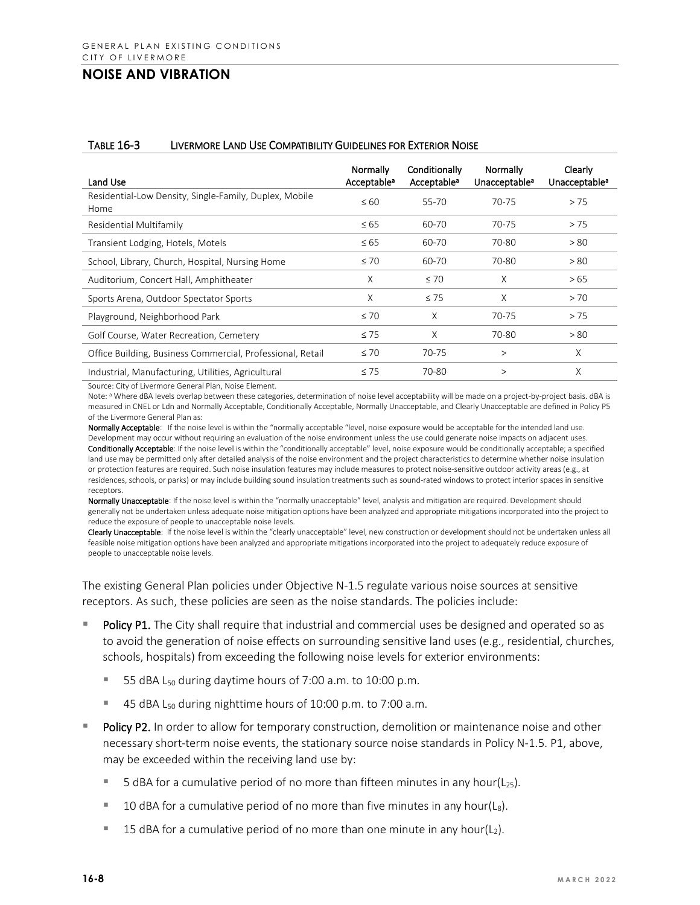#### TABLE 16-3 LIVERMORE LAND USE COMPATIBILITY GUIDELINES FOR EXTERIOR NOISE

| Land Use                                                       | Normally<br>Acceptable <sup>a</sup> | Conditionally<br>Acceptable <sup>a</sup> | Normally<br>Unacceptable <sup>a</sup> | Clearly<br>Unacceptable <sup>a</sup> |
|----------------------------------------------------------------|-------------------------------------|------------------------------------------|---------------------------------------|--------------------------------------|
| Residential-Low Density, Single-Family, Duplex, Mobile<br>Home | $\leq 60$                           | 55-70                                    | $70 - 75$                             | > 75                                 |
| Residential Multifamily                                        | $\leq 65$                           | 60-70                                    | $70 - 75$                             | > 75                                 |
| Transient Lodging, Hotels, Motels                              | $\leq 65$                           | 60-70                                    | 70-80                                 | > 80                                 |
| School, Library, Church, Hospital, Nursing Home                | $\leq 70$                           | 60-70                                    | 70-80                                 | > 80                                 |
| Auditorium, Concert Hall, Amphitheater                         | X                                   | $\leq 70$                                | X                                     | > 65                                 |
| Sports Arena, Outdoor Spectator Sports                         | X                                   | $\leq 75$                                | X                                     | > 70                                 |
| Playground, Neighborhood Park                                  | $\leq 70$                           | X                                        | $70 - 75$                             | > 75                                 |
| Golf Course, Water Recreation, Cemetery                        | $\leq 75$                           | X                                        | 70-80                                 | > 80                                 |
| Office Building, Business Commercial, Professional, Retail     | $\leq 70$                           | 70-75                                    | $\rm{>}$                              | X                                    |
| Industrial, Manufacturing, Utilities, Agricultural             | $\leq 75$                           | 70-80                                    | $\rm{>}$                              | X                                    |

Source: City of Livermore General Plan, Noise Element.

Note: <sup>a</sup> Where dBA levels overlap between these categories, determination of noise level acceptability will be made on a project-by-project basis. dBA is measured in CNEL or Ldn and Normally Acceptable, Conditionally Acceptable, Normally Unacceptable, and Clearly Unacceptable are defined in Policy P5 of the Livermore General Plan as:

Normally Acceptable: If the noise level is within the "normally acceptable "level, noise exposure would be acceptable for the intended land use. Development may occur without requiring an evaluation of the noise environment unless the use could generate noise impacts on adjacent uses. Conditionally Acceptable: If the noise level is within the "conditionally acceptable" level, noise exposure would be conditionally acceptable; a specified land use may be permitted only after detailed analysis of the noise environment and the project characteristics to determine whether noise insulation or protection features are required. Such noise insulation features may include measures to protect noise-sensitive outdoor activity areas (e.g., at residences, schools, or parks) or may include building sound insulation treatments such as sound-rated windows to protect interior spaces in sensitive receptors.

Normally Unacceptable: If the noise level is within the "normally unacceptable" level, analysis and mitigation are required. Development should generally not be undertaken unless adequate noise mitigation options have been analyzed and appropriate mitigations incorporated into the project to reduce the exposure of people to unacceptable noise levels.

Clearly Unacceptable: If the noise level is within the "clearly unacceptable" level, new construction or development should not be undertaken unless all feasible noise mitigation options have been analyzed and appropriate mitigations incorporated into the project to adequately reduce exposure of people to unacceptable noise levels.

The existing General Plan policies under Objective N-1.5 regulate various noise sources at sensitive receptors. As such, these policies are seen as the noise standards. The policies include:

- Policy P1. The City shall require that industrial and commercial uses be designed and operated so as to avoid the generation of noise effects on surrounding sensitive land uses (e.g., residential, churches, schools, hospitals) from exceeding the following noise levels for exterior environments:
	- 55 dBA  $L_{50}$  during daytime hours of 7:00 a.m. to 10:00 p.m.
	- 45 dBA L<sub>50</sub> during nighttime hours of 10:00 p.m. to 7:00 a.m.
- Policy P2. In order to allow for temporary construction, demolition or maintenance noise and other necessary short-term noise events, the stationary source noise standards in Policy N-1.5. P1, above, may be exceeded within the receiving land use by:
	- 5 dBA for a cumulative period of no more than fifteen minutes in any hour( $L_{25}$ ).
	- **10 dBA for a cumulative period of no more than five minutes in any hour(Ls).**
	- **15 dBA for a cumulative period of no more than one minute in any hour(** $L_2$ **).**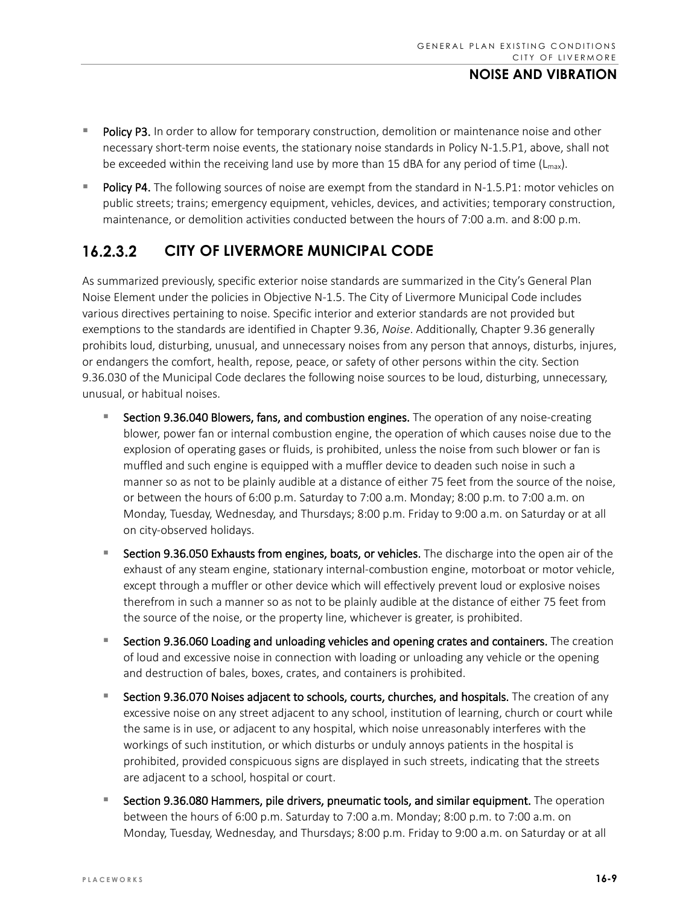- Policy P3. In order to allow for temporary construction, demolition or maintenance noise and other necessary short-term noise events, the stationary noise standards in Policy N-1.5.P1, above, shall not be exceeded within the receiving land use by more than 15 dBA for any period of time  $(L_{max})$ .
- Policy P4. The following sources of noise are exempt from the standard in N-1.5.P1: motor vehicles on public streets; trains; emergency equipment, vehicles, devices, and activities; temporary construction, maintenance, or demolition activities conducted between the hours of 7:00 a.m. and 8:00 p.m.

#### $16.2.3.2$ **CITY OF LIVERMORE MUNICIPAL CODE**

As summarized previously, specific exterior noise standards are summarized in the City's General Plan Noise Element under the policies in Objective N-1.5. The City of Livermore Municipal Code includes various directives pertaining to noise. Specific interior and exterior standards are not provided but exemptions to the standards are identified in Chapter 9.36, *Noise*. Additionally, Chapter 9.36 generally prohibits loud, disturbing, unusual, and unnecessary noises from any person that annoys, disturbs, injures, or endangers the comfort, health, repose, peace, or safety of other persons within the city. Section 9.36.030 of the Municipal Code declares the following noise sources to be loud, disturbing, unnecessary, unusual, or habitual noises.

- Section 9.36.040 Blowers, fans, and combustion engines. The operation of any noise-creating blower, power fan or internal combustion engine, the operation of which causes noise due to the explosion of operating gases or fluids, is prohibited, unless the noise from such blower or fan is muffled and such engine is equipped with a muffler device to deaden such noise in such a manner so as not to be plainly audible at a distance of either 75 feet from the source of the noise, or between the hours of 6:00 p.m. Saturday to 7:00 a.m. Monday; 8:00 p.m. to 7:00 a.m. on Monday, Tuesday, Wednesday, and Thursdays; 8:00 p.m. Friday to 9:00 a.m. on Saturday or at all on city-observed holidays.
- **Section 9.36.050 Exhausts from engines, boats, or vehicles.** The discharge into the open air of the exhaust of any steam engine, stationary internal-combustion engine, motorboat or motor vehicle, except through a muffler or other device which will effectively prevent loud or explosive noises therefrom in such a manner so as not to be plainly audible at the distance of either 75 feet from the source of the noise, or the property line, whichever is greater, is prohibited.
- **Section 9.36.060 Loading and unloading vehicles and opening crates and containers.** The creation of loud and excessive noise in connection with loading or unloading any vehicle or the opening and destruction of bales, boxes, crates, and containers is prohibited.
- Section 9.36.070 Noises adjacent to schools, courts, churches, and hospitals. The creation of any excessive noise on any street adjacent to any school, institution of learning, church or court while the same is in use, or adjacent to any hospital, which noise unreasonably interferes with the workings of such institution, or which disturbs or unduly annoys patients in the hospital is prohibited, provided conspicuous signs are displayed in such streets, indicating that the streets are adjacent to a school, hospital or court.
- **Section 9.36.080 Hammers, pile drivers, pneumatic tools, and similar equipment.** The operation between the hours of 6:00 p.m. Saturday to 7:00 a.m. Monday; 8:00 p.m. to 7:00 a.m. on Monday, Tuesday, Wednesday, and Thursdays; 8:00 p.m. Friday to 9:00 a.m. on Saturday or at all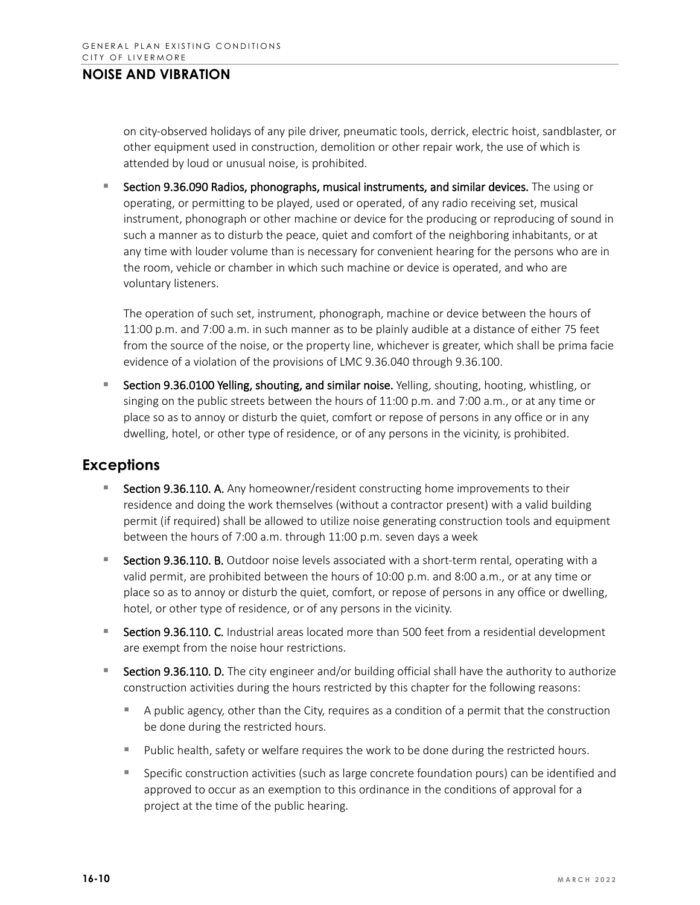on city-observed holidays of any pile driver, pneumatic tools, derrick, electric hoist, sandblaster, or other equipment used in construction, demolition or other repair work, the use of which is attended by loud or unusual noise, is prohibited.

**Section 9.36.090 Radios, phonographs, musical instruments, and similar devices.** The using or operating, or permitting to be played, used or operated, of any radio receiving set, musical instrument, phonograph or other machine or device for the producing or reproducing of sound in such a manner as to disturb the peace, quiet and comfort of the neighboring inhabitants, or at any time with louder volume than is necessary for convenient hearing for the persons who are in the room, vehicle or chamber in which such machine or device is operated, and who are voluntary listeners.

The operation of such set, instrument, phonograph, machine or device between the hours of 11:00 p.m. and 7:00 a.m. in such manner as to be plainly audible at a distance of either 75 feet from the source of the noise, or the property line, whichever is greater, which shall be prima facie evidence of a violation of the provisions of LMC [9.36.040](https://www.codepublishing.com/CA/Livermore/Municipal/Livermore09/Livermore0936.html#9.36.040) through [9.36.100.](https://www.codepublishing.com/CA/Livermore/Municipal/Livermore09/Livermore0936.html#9.36.100)

**Section 9.36.0100 Yelling, shouting, and similar noise.** Yelling, shouting, hooting, whistling, or singing on the public streets between the hours of 11:00 p.m. and 7:00 a.m., or at any time or place so as to annoy or disturb the quiet, comfort or repose of persons in any office or in any dwelling, hotel, or other type of residence, or of any persons in the vicinity, is prohibited.

### **Exceptions**

- Section 9.36.110. A. Any homeowner/resident constructing home improvements to their residence and doing the work themselves (without a contractor present) with a valid building permit (if required) shall be allowed to utilize noise generating construction tools and equipment between the hours of 7:00 a.m. through 11:00 p.m. seven days a week
- **Section 9.36.110. B.** Outdoor noise levels associated with a short-term rental, operating with a valid permit, are prohibited between the hours of 10:00 p.m. and 8:00 a.m., or at any time or place so as to annoy or disturb the quiet, comfort, or repose of persons in any office or dwelling, hotel, or other type of residence, or of any persons in the vicinity.
- **Section 9.36.110. C.** Industrial areas located more than 500 feet from a residential development are exempt from the noise hour restrictions.
- **Section 9.36.110. D.** The city engineer and/or building official shall have the authority to authorize construction activities during the hours restricted by this chapter for the following reasons:
	- **A** public agency, other than the City, requires as a condition of a permit that the construction be done during the restricted hours.
	- **Public health, safety or welfare requires the work to be done during the restricted hours.**
	- Specific construction activities (such as large concrete foundation pours) can be identified and approved to occur as an exemption to this ordinance in the conditions of approval for a project at the time of the public hearing.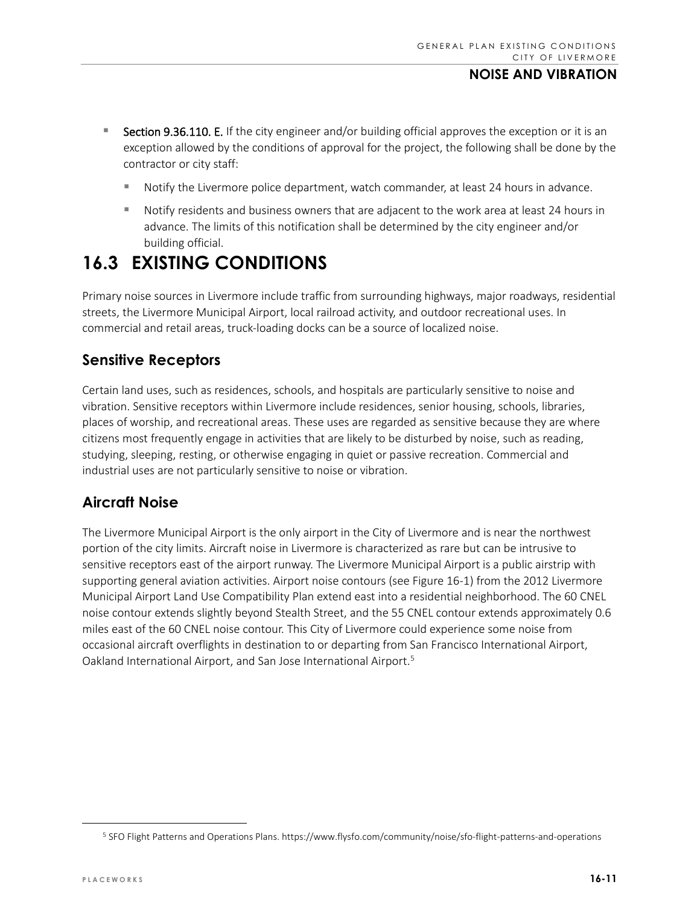- **Section 9.36.110. E.** If the city engineer and/or building official approves the exception or it is an exception allowed by the conditions of approval for the project, the following shall be done by the contractor or city staff:
	- Notify the Livermore police department, watch commander, at least 24 hours in advance.
	- Notify residents and business owners that are adjacent to the work area at least 24 hours in advance. The limits of this notification shall be determined by the city engineer and/or building official.

# **16.3 EXISTING CONDITIONS**

Primary noise sources in Livermore include traffic from surrounding highways, major roadways, residential streets, the Livermore Municipal Airport, local railroad activity, and outdoor recreational uses. In commercial and retail areas, truck-loading docks can be a source of localized noise.

## **Sensitive Receptors**

Certain land uses, such as residences, schools, and hospitals are particularly sensitive to noise and vibration. Sensitive receptors within Livermore include residences, senior housing, schools, libraries, places of worship, and recreational areas. These uses are regarded as sensitive because they are where citizens most frequently engage in activities that are likely to be disturbed by noise, such as reading, studying, sleeping, resting, or otherwise engaging in quiet or passive recreation. Commercial and industrial uses are not particularly sensitive to noise or vibration.

## **Aircraft Noise**

The Livermore Municipal Airport is the only airport in the City of Livermore and is near the northwest portion of the city limits. Aircraft noise in Livermore is characterized as rare but can be intrusive to sensitive receptors east of the airport runway. The Livermore Municipal Airport is a public airstrip with supporting general aviation activities. Airport noise contours (see Figure 16-1) from the 2012 Livermore Municipal Airport Land Use Compatibility Plan extend east into a residential neighborhood. The 60 CNEL noise contour extends slightly beyond Stealth Street, and the 55 CNEL contour extends approximately 0.6 miles east of the 60 CNEL noise contour. This City of Livermore could experience some noise from occasional aircraft overflights in destination to or departing from San Francisco International Airport, Oakland International Airport, and San Jose International Airport.<sup>[5](#page-10-0)</sup>

<span id="page-10-0"></span><sup>5</sup> SFO Flight Patterns and Operations Plans. https://www.flysfo.com/community/noise/sfo-flight-patterns-and-operations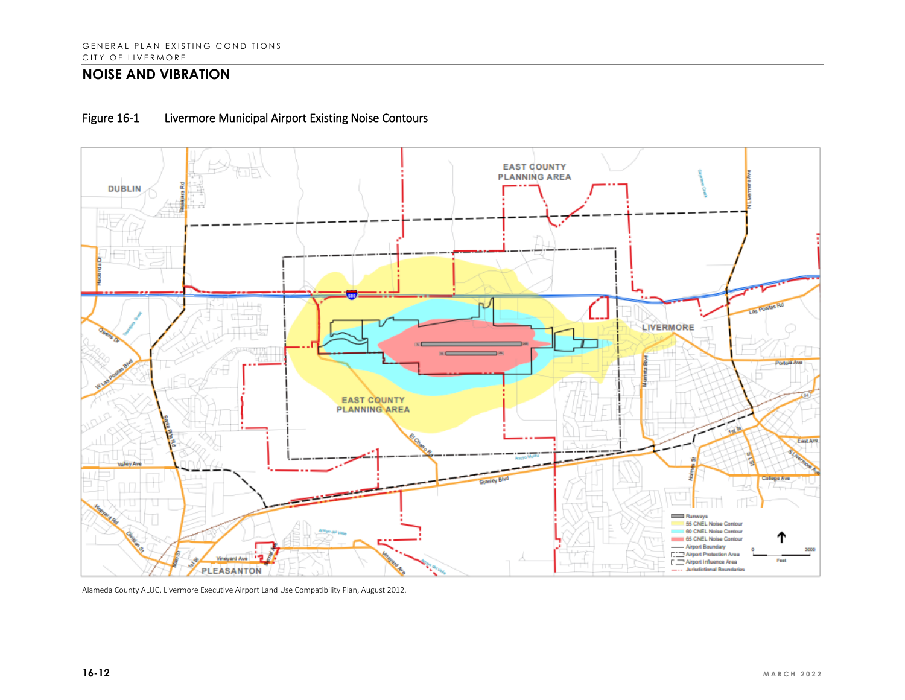



Alameda County ALUC, Livermore Executive Airport Land Use Compatibility Plan, August 2012.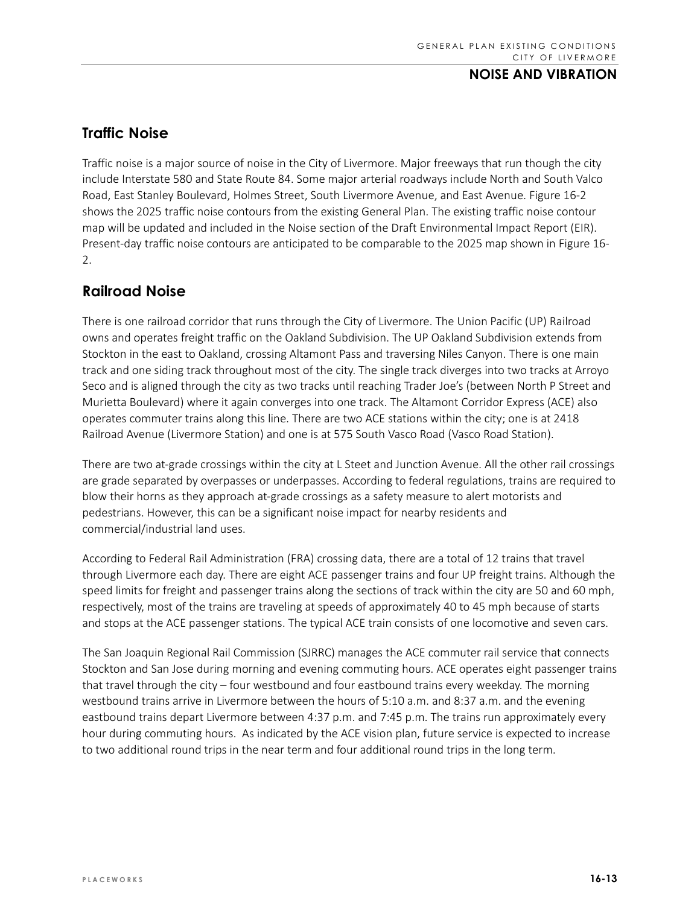## **Traffic Noise**

Traffic noise is a major source of noise in the City of Livermore. Major freeways that run though the city include Interstate 580 and State Route 84. Some major arterial roadways include North and South Valco Road, East Stanley Boulevard, Holmes Street, South Livermore Avenue, and East Avenue. Figure 16-2 shows the 2025 traffic noise contours from the existing General Plan. The existing traffic noise contour map will be updated and included in the Noise section of the Draft Environmental Impact Report (EIR). Present-day traffic noise contours are anticipated to be comparable to the 2025 map shown in Figure 16- 2.

## **Railroad Noise**

There is one railroad corridor that runs through the City of Livermore. The Union Pacific (UP) Railroad owns and operates freight traffic on the Oakland Subdivision. The UP Oakland Subdivision extends from Stockton in the east to Oakland, crossing Altamont Pass and traversing Niles Canyon. There is one main track and one siding track throughout most of the city. The single track diverges into two tracks at Arroyo Seco and is aligned through the city as two tracks until reaching Trader Joe's (between North P Street and Murietta Boulevard) where it again converges into one track. The Altamont Corridor Express (ACE) also operates commuter trains along this line. There are two ACE stations within the city; one is at 2418 Railroad Avenue (Livermore Station) and one is at 575 South Vasco Road (Vasco Road Station).

There are two at-grade crossings within the city at L Steet and Junction Avenue. All the other rail crossings are grade separated by overpasses or underpasses. According to federal regulations, trains are required to blow their horns as they approach at-grade crossings as a safety measure to alert motorists and pedestrians. However, this can be a significant noise impact for nearby residents and commercial/industrial land uses.

According to Federal Rail Administration (FRA) crossing data, there are a total of 12 trains that travel through Livermore each day. There are eight ACE passenger trains and four UP freight trains. Although the speed limits for freight and passenger trains along the sections of track within the city are 50 and 60 mph, respectively, most of the trains are traveling at speeds of approximately 40 to 45 mph because of starts and stops at the ACE passenger stations. The typical ACE train consists of one locomotive and seven cars.

The San Joaquin Regional Rail Commission (SJRRC) manages the ACE commuter rail service that connects Stockton and San Jose during morning and evening commuting hours. ACE operates eight passenger trains that travel through the city – four westbound and four eastbound trains every weekday. The morning westbound trains arrive in Livermore between the hours of 5:10 a.m. and 8:37 a.m. and the evening eastbound trains depart Livermore between 4:37 p.m. and 7:45 p.m. The trains run approximately every hour during commuting hours. As indicated by the ACE vision plan, future service is expected to increase to two additional round trips in the near term and four additional round trips in the long term.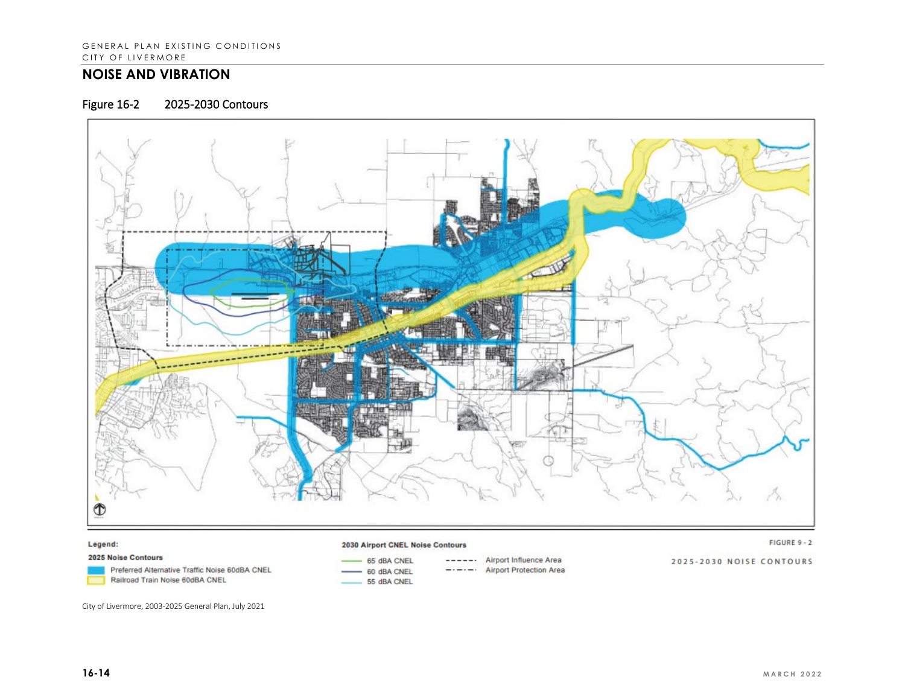### Figure 16-2 2025-2030 Contours



#### Legend:

#### 2030 Airport CNEL Noise Contours

#### FIGURE 9 - 2

2025 Noise Contours

Preferred Alternative Traffic Noise 60dBA CNEL Railroad Train Noise 60dBA CNEL

- 65 dBA CNEL 60 dBA CNEL 55 dBA CNEL
- ------ Airport Influence Area  $-\cdot - \cdot - \cdot$  Airport Protection Area

2025-2030 NOISE CONTOURS

City of Livermore, 2003-2025 General Plan, July 2021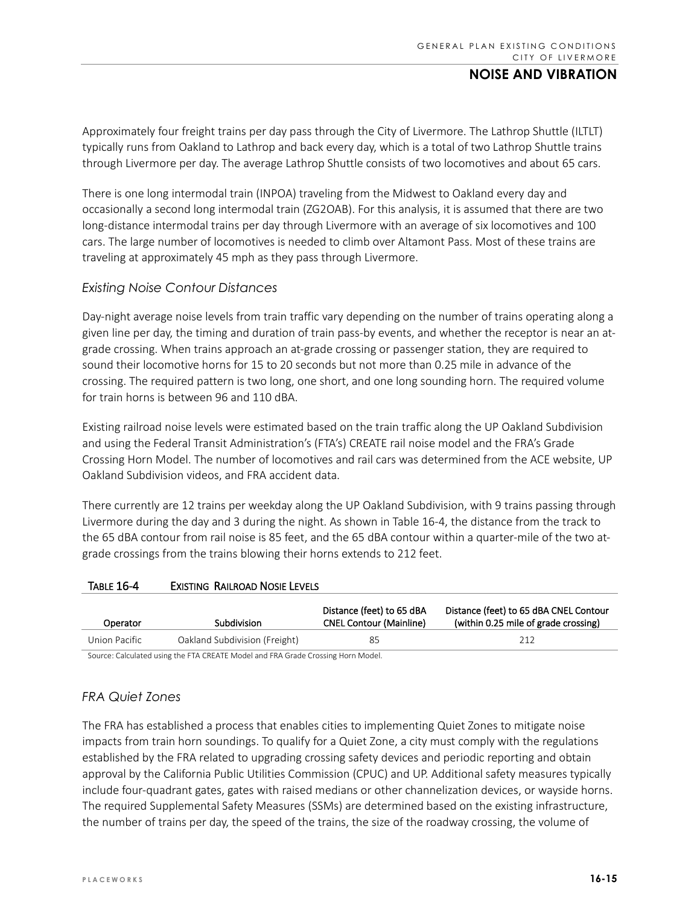Approximately four freight trains per day pass through the City of Livermore. The Lathrop Shuttle (ILTLT) typically runs from Oakland to Lathrop and back every day, which is a total of two Lathrop Shuttle trains through Livermore per day. The average Lathrop Shuttle consists of two locomotives and about 65 cars.

There is one long intermodal train (INPOA) traveling from the Midwest to Oakland every day and occasionally a second long intermodal train (ZG2OAB). For this analysis, it is assumed that there are two long-distance intermodal trains per day through Livermore with an average of six locomotives and 100 cars. The large number of locomotives is needed to climb over Altamont Pass. Most of these trains are traveling at approximately 45 mph as they pass through Livermore.

#### *Existing Noise Contour Distances*

Day-night average noise levels from train traffic vary depending on the number of trains operating along a given line per day, the timing and duration of train pass-by events, and whether the receptor is near an atgrade crossing. When trains approach an at-grade crossing or passenger station, they are required to sound their locomotive horns for 15 to 20 seconds but not more than 0.25 mile in advance of the crossing. The required pattern is two long, one short, and one long sounding horn. The required volume for train horns is between 96 and 110 dBA.

Existing railroad noise levels were estimated based on the train traffic along the UP Oakland Subdivision and using the Federal Transit Administration's (FTA's) CREATE rail noise model and the FRA's Grade Crossing Horn Model. The number of locomotives and rail cars was determined from the ACE website, UP Oakland Subdivision videos, and FRA accident data.

There currently are 12 trains per weekday along the UP Oakland Subdivision, with 9 trains passing through Livermore during the day and 3 during the night. As shown in Table 16-4, the distance from the track to the 65 dBA contour from rail noise is 85 feet, and the 65 dBA contour within a quarter-mile of the two atgrade crossings from the trains blowing their horns extends to 212 feet.

#### TABLE 16-4 EXISTING RAILROAD NOSIE LEVELS

| Operator                                                                        | Subdivision                   | Distance (feet) to 65 dBA<br><b>CNEL Contour (Mainline)</b> | Distance (feet) to 65 dBA CNEL Contour<br>(within 0.25 mile of grade crossing) |  |
|---------------------------------------------------------------------------------|-------------------------------|-------------------------------------------------------------|--------------------------------------------------------------------------------|--|
| Union Pacific                                                                   | Oakland Subdivision (Freight) | 85                                                          | 212                                                                            |  |
| Source: Calculated using the ETA CREATE Model and ERA Grade Cressing Horn Model |                               |                                                             |                                                                                |  |

Source: Calculated using the FTA CREATE Model and FRA Grade Crossing Horn Model.

#### *FRA Quiet Zones*

The FRA has established a process that enables cities to implementing Quiet Zones to mitigate noise impacts from train horn soundings. To qualify for a Quiet Zone, a city must comply with the regulations established by the FRA related to upgrading crossing safety devices and periodic reporting and obtain approval by the California Public Utilities Commission (CPUC) and UP. Additional safety measures typically include four-quadrant gates, gates with raised medians or other channelization devices, or wayside horns. The required Supplemental Safety Measures (SSMs) are determined based on the existing infrastructure, the number of trains per day, the speed of the trains, the size of the roadway crossing, the volume of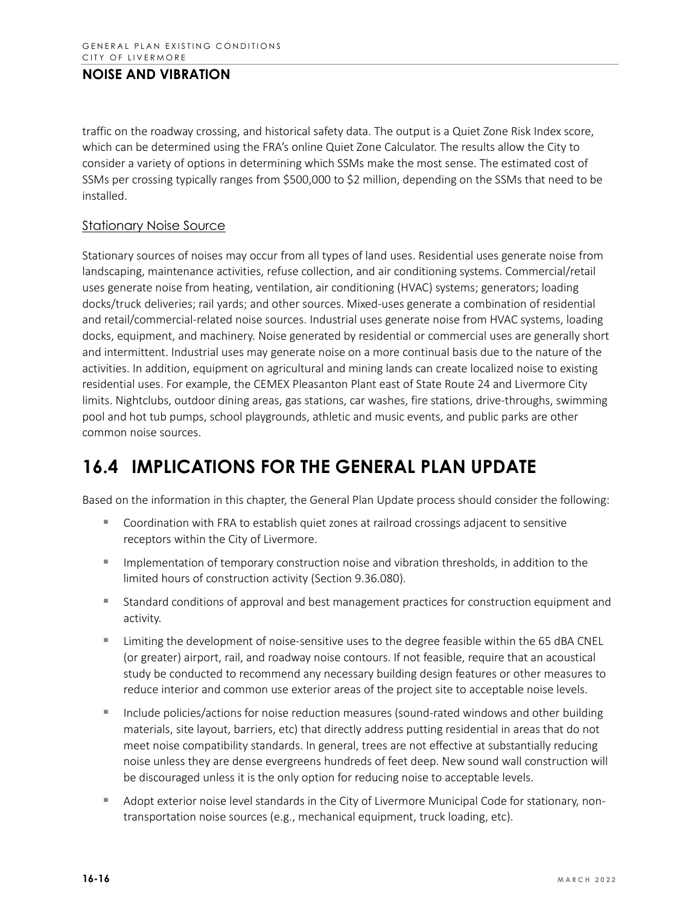traffic on the roadway crossing, and historical safety data. The output is a Quiet Zone Risk Index score, which can be determined using the FRA's online Quiet Zone Calculator. The results allow the City to consider a variety of options in determining which SSMs make the most sense. The estimated cost of SSMs per crossing typically ranges from \$500,000 to \$2 million, depending on the SSMs that need to be installed.

#### Stationary Noise Source

Stationary sources of noises may occur from all types of land uses. Residential uses generate noise from landscaping, maintenance activities, refuse collection, and air conditioning systems. Commercial/retail uses generate noise from heating, ventilation, air conditioning (HVAC) systems; generators; loading docks/truck deliveries; rail yards; and other sources. Mixed-uses generate a combination of residential and retail/commercial-related noise sources. Industrial uses generate noise from HVAC systems, loading docks, equipment, and machinery. Noise generated by residential or commercial uses are generally short and intermittent. Industrial uses may generate noise on a more continual basis due to the nature of the activities. In addition, equipment on agricultural and mining lands can create localized noise to existing residential uses. For example, the CEMEX Pleasanton Plant east of State Route 24 and Livermore City limits. Nightclubs, outdoor dining areas, gas stations, car washes, fire stations, drive-throughs, swimming pool and hot tub pumps, school playgrounds, athletic and music events, and public parks are other common noise sources.

# **16.4 IMPLICATIONS FOR THE GENERAL PLAN UPDATE**

Based on the information in this chapter, the General Plan Update process should consider the following:

- Coordination with FRA to establish quiet zones at railroad crossings adjacent to sensitive receptors within the City of Livermore.
- **IMPLEM** Implementation of temporary construction noise and vibration thresholds, in addition to the limited hours of construction activity (Section 9.36.080).
- Standard conditions of approval and best management practices for construction equipment and activity.
- **EXECT** Limiting the development of noise-sensitive uses to the degree feasible within the 65 dBA CNEL (or greater) airport, rail, and roadway noise contours. If not feasible, require that an acoustical study be conducted to recommend any necessary building design features or other measures to reduce interior and common use exterior areas of the project site to acceptable noise levels.
- Include policies/actions for noise reduction measures (sound-rated windows and other building materials, site layout, barriers, etc) that directly address putting residential in areas that do not meet noise compatibility standards. In general, trees are not effective at substantially reducing noise unless they are dense evergreens hundreds of feet deep. New sound wall construction will be discouraged unless it is the only option for reducing noise to acceptable levels.
- Adopt exterior noise level standards in the City of Livermore Municipal Code for stationary, nontransportation noise sources (e.g., mechanical equipment, truck loading, etc).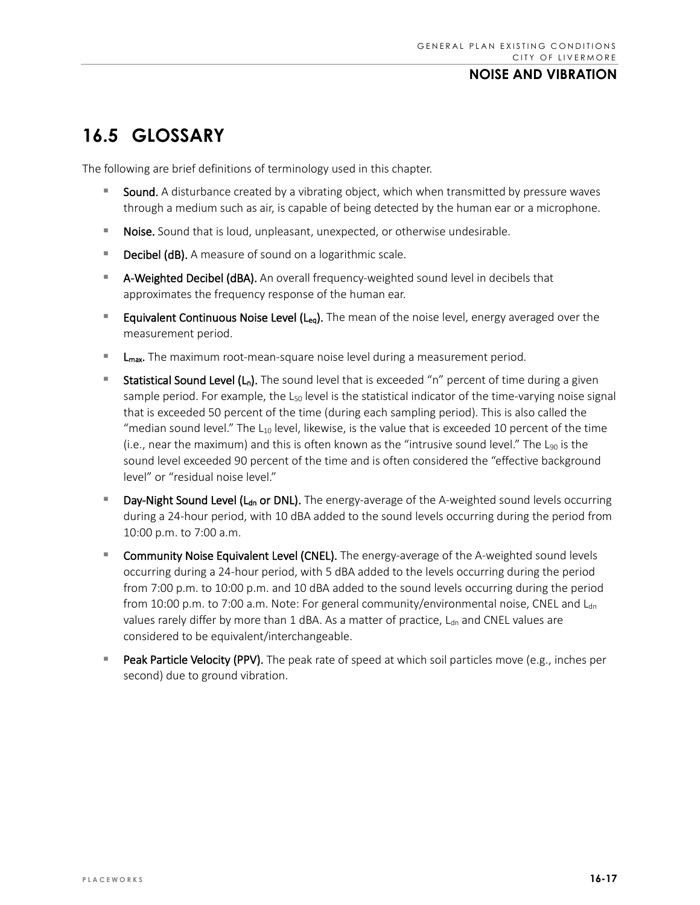# **16.5 GLOSSARY**

The following are brief definitions of terminology used in this chapter.

- Sound. A disturbance created by a vibrating object, which when transmitted by pressure waves through a medium such as air, is capable of being detected by the human ear or a microphone.
- **Noise.** Sound that is loud, unpleasant, unexpected, or otherwise undesirable.
- **Decibel (dB).** A measure of sound on a logarithmic scale.
- **A-Weighted Decibel (dBA).** An overall frequency-weighted sound level in decibels that approximates the frequency response of the human ear.
- **Equivalent Continuous Noise Level (Leq).** The mean of the noise level, energy averaged over the measurement period.
- $\blacksquare$  L<sub>max</sub>. The maximum root-mean-square noise level during a measurement period.
- **Statistical Sound Level (L<sub>n</sub>).** The sound level that is exceeded "n" percent of time during a given sample period. For example, the  $L_{50}$  level is the statistical indicator of the time-varying noise signal that is exceeded 50 percent of the time (during each sampling period). This is also called the "median sound level." The  $L_{10}$  level, likewise, is the value that is exceeded 10 percent of the time (i.e., near the maximum) and this is often known as the "intrusive sound level." The  $L_{90}$  is the sound level exceeded 90 percent of the time and is often considered the "effective background level" or "residual noise level."
- **Day-Night Sound Level (L<sub>dn</sub> or DNL).** The energy-average of the A-weighted sound levels occurring during a 24-hour period, with 10 dBA added to the sound levels occurring during the period from 10:00 p.m. to 7:00 a.m.
- **Community Noise Equivalent Level (CNEL).** The energy-average of the A-weighted sound levels occurring during a 24-hour period, with 5 dBA added to the levels occurring during the period from 7:00 p.m. to 10:00 p.m. and 10 dBA added to the sound levels occurring during the period from 10:00 p.m. to 7:00 a.m. Note: For general community/environmental noise, CNEL and L<sub>dn</sub> values rarely differ by more than  $1$  dBA. As a matter of practice,  $L_{dn}$  and CNEL values are considered to be equivalent/interchangeable.
- **Peak Particle Velocity (PPV).** The peak rate of speed at which soil particles move (e.g., inches per second) due to ground vibration.